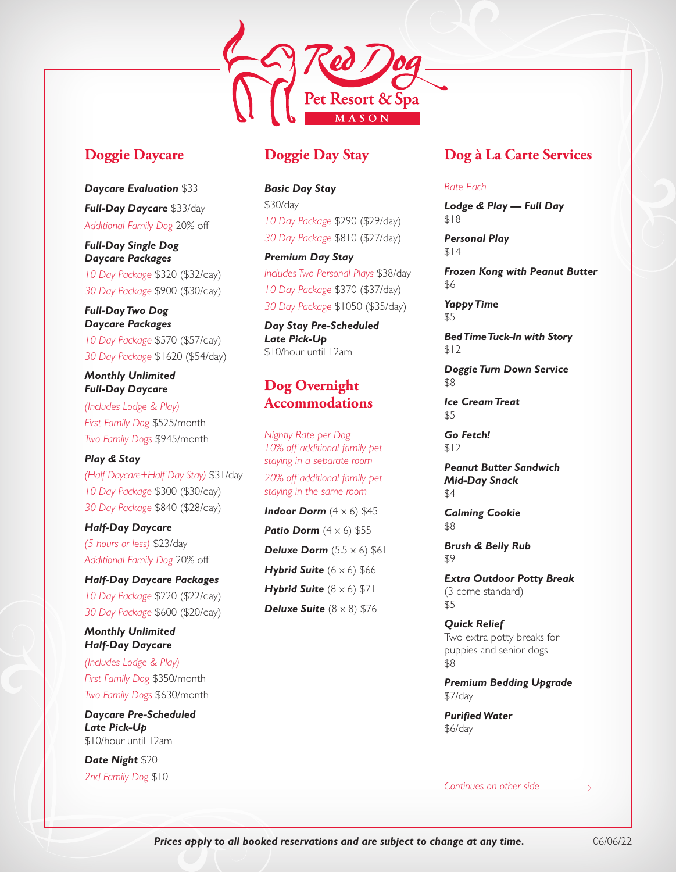

# **Doggie Daycare**

*Daycare Evaluation* \$33 *Full-Day Daycare* \$33/day *Additional Family Dog* 20% off

*Full-Day Single Dog Daycare Packages 10 Day Package* \$320 (\$32/day) *30 Day Package* \$900 (\$30/day)

*Full-Day Two Dog Daycare Packages 10 Day Package* \$570 (\$57/day) *30 Day Package* \$1620 (\$54/day)

*Monthly Unlimited Full-Day Daycare* 

*(Includes Lodge & Play) First Family Dog* \$525/month *Two Family Dogs* \$945/month

*Play & Stay (Half Daycare+Half Day Stay)* \$31/day *10 Day Package* \$300 (\$30/day) *30 Day Package* \$840 (\$28/day)

*Half-Day Daycare (5 hours or less)* \$23/day *Additional Family Dog* 20% off

*Half-Day Daycare Packages 10 Day Package* \$220 (\$22/day) *30 Day Package* \$600 (\$20/day)

### *Monthly Unlimited Half-Day Daycare*

*(Includes Lodge & Play) First Family Dog* \$350/month *Two Family Dogs* \$630/month

*Daycare Pre-Scheduled Late Pick-Up*  \$10/hour until 12am

*Date Night* \$20 *2nd Family Dog* \$10

# **Doggie Day Stay**

*Basic Day Stay*  \$30/day *10 Day Package* \$290 (\$29/day) *30 Day Package* \$810 (\$27/day)

*Premium Day Stay Includes Two Personal Plays* \$38/day *10 Day Package* \$370 (\$37/day) *30 Day Package* \$1050 (\$35/day)

*Day Stay Pre-Scheduled Late Pick-Up*  \$10/hour until 12am

# **Dog Overnight Accommodations**

*Nightly Rate per Dog 10% off additional family pet staying in a separate room 20% off additional family pet* 

*staying in the same room*

**Indoor Dorm**  $(4 \times 6)$  \$45 **Patio Dorm**  $(4 \times 6)$  \$55 **Deluxe Dorm**  $(5.5 \times 6)$  \$61 **Hybrid Suite**  $(6 \times 6)$  \$66 *Hybrid Suite*  $(8 \times 6)$  \$71 **Deluxe Suite**  $(8 \times 8)$  \$76

# **Dog à La Carte Services**

#### *Rate Each*

*Lodge & Play — Full Day* \$18

*Personal Play* \$14

*Frozen Kong with Peanut Butter* \$6

*Yappy Time* \$5

*Bed Time Tuck-In with Story* \$12

*Doggie Turn Down Service* \$8

*Ice Cream Treat* \$5

*Go Fetch!*  $$12$ 

*Peanut Butter Sandwich Mid-Day Snack* \$4

*Calming Cookie* \$8

*Brush & Belly Rub* \$9

*Extra Outdoor Potty Break*  (3 come standard) \$5

*Quick Relief*  Two extra potty breaks for puppies and senior dogs \$8

*Premium Bedding Upgrade* \$7/day

*Purified Water* \$6/day

*Continues on other side*

*Prices apply to all booked reservations and are subject to change at any time.* 06/06/22